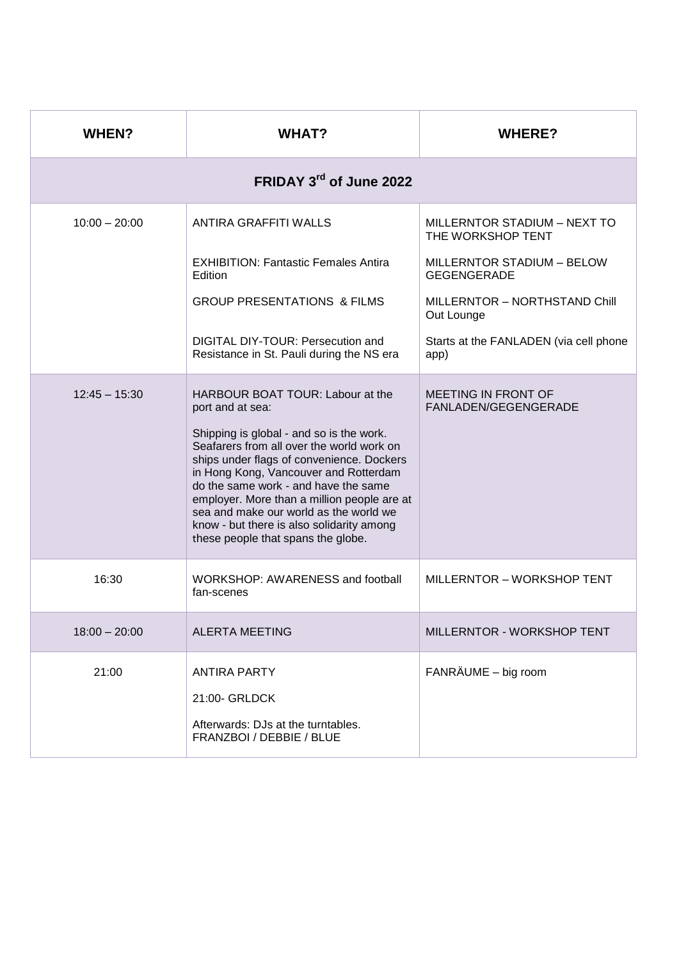| <b>WHEN?</b>            | <b>WHAT?</b>                                                                                                                                                                                                                                                                                                                                                                                                                                            | <b>WHERE?</b>                                      |  |  |
|-------------------------|---------------------------------------------------------------------------------------------------------------------------------------------------------------------------------------------------------------------------------------------------------------------------------------------------------------------------------------------------------------------------------------------------------------------------------------------------------|----------------------------------------------------|--|--|
| FRIDAY 3rd of June 2022 |                                                                                                                                                                                                                                                                                                                                                                                                                                                         |                                                    |  |  |
| $10:00 - 20:00$         | ANTIRA GRAFFITI WALLS                                                                                                                                                                                                                                                                                                                                                                                                                                   | MILLERNTOR STADIUM - NEXT TO<br>THE WORKSHOP TENT  |  |  |
|                         | <b>EXHIBITION: Fantastic Females Antira</b><br>Edition                                                                                                                                                                                                                                                                                                                                                                                                  | MILLERNTOR STADIUM - BELOW<br><b>GEGENGERADE</b>   |  |  |
|                         | <b>GROUP PRESENTATIONS &amp; FILMS</b>                                                                                                                                                                                                                                                                                                                                                                                                                  | MILLERNTOR - NORTHSTAND Chill<br>Out Lounge        |  |  |
|                         | DIGITAL DIY-TOUR: Persecution and<br>Resistance in St. Pauli during the NS era                                                                                                                                                                                                                                                                                                                                                                          | Starts at the FANLADEN (via cell phone<br>app)     |  |  |
| $12:45 - 15:30$         | HARBOUR BOAT TOUR: Labour at the<br>port and at sea:<br>Shipping is global - and so is the work.<br>Seafarers from all over the world work on<br>ships under flags of convenience. Dockers<br>in Hong Kong, Vancouver and Rotterdam<br>do the same work - and have the same<br>employer. More than a million people are at<br>sea and make our world as the world we<br>know - but there is also solidarity among<br>these people that spans the globe. | <b>MEETING IN FRONT OF</b><br>FANLADEN/GEGENGERADE |  |  |
| 16:30                   | WORKSHOP: AWARENESS and football<br>fan-scenes                                                                                                                                                                                                                                                                                                                                                                                                          | MILLERNTOR - WORKSHOP TENT                         |  |  |
| $18:00 - 20:00$         | <b>ALERTA MEETING</b>                                                                                                                                                                                                                                                                                                                                                                                                                                   | <b>MILLERNTOR - WORKSHOP TENT</b>                  |  |  |
| 21:00                   | <b>ANTIRA PARTY</b><br>21:00- GRLDCK<br>Afterwards: DJs at the turntables.<br>FRANZBOI / DEBBIE / BLUE                                                                                                                                                                                                                                                                                                                                                  | FANRÄUME - big room                                |  |  |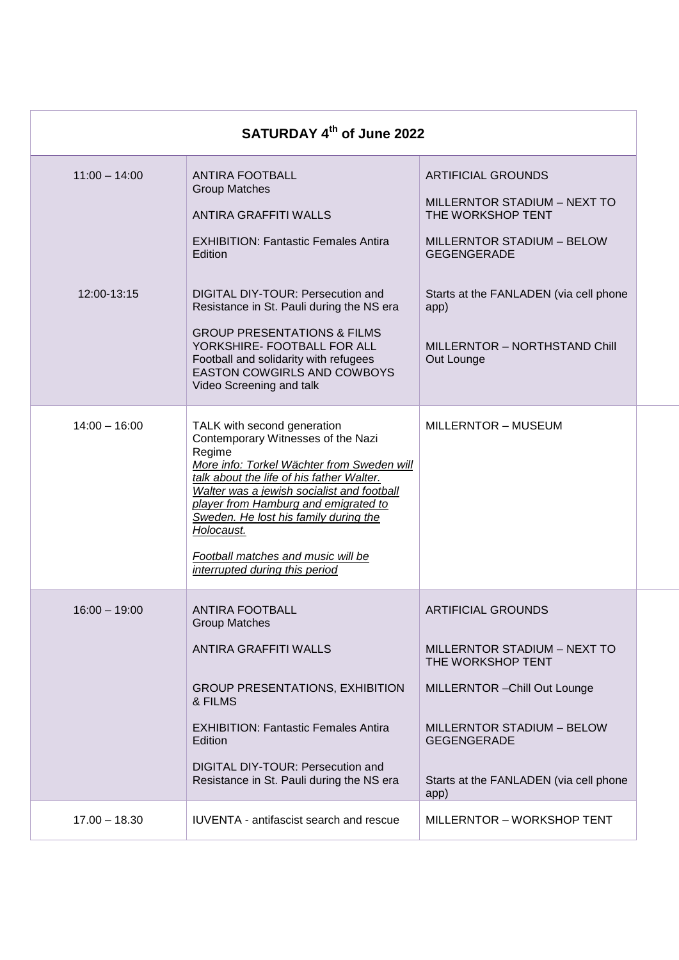| SATURDAY 4th of June 2022 |                                                                                                                                                                                                                                                                                                                                                                                             |                                                                                                                                                                                                                       |  |
|---------------------------|---------------------------------------------------------------------------------------------------------------------------------------------------------------------------------------------------------------------------------------------------------------------------------------------------------------------------------------------------------------------------------------------|-----------------------------------------------------------------------------------------------------------------------------------------------------------------------------------------------------------------------|--|
| $11:00 - 14:00$           | <b>ANTIRA FOOTBALL</b><br><b>Group Matches</b><br><b>ANTIRA GRAFFITI WALLS</b><br><b>EXHIBITION: Fantastic Females Antira</b><br>Edition                                                                                                                                                                                                                                                    | <b>ARTIFICIAL GROUNDS</b><br>MILLERNTOR STADIUM - NEXT TO<br>THE WORKSHOP TENT<br><b>MILLERNTOR STADIUM - BELOW</b><br><b>GEGENGERADE</b>                                                                             |  |
| 12:00-13:15               | DIGITAL DIY-TOUR: Persecution and<br>Resistance in St. Pauli during the NS era<br><b>GROUP PRESENTATIONS &amp; FILMS</b><br>YORKSHIRE- FOOTBALL FOR ALL<br>Football and solidarity with refugees<br>EASTON COWGIRLS AND COWBOYS<br>Video Screening and talk                                                                                                                                 | Starts at the FANLADEN (via cell phone<br>app)<br>MILLERNTOR - NORTHSTAND Chill<br>Out Lounge                                                                                                                         |  |
| $14:00 - 16:00$           | TALK with second generation<br>Contemporary Witnesses of the Nazi<br>Regime<br>More info: Torkel Wächter from Sweden will<br>talk about the life of his father Walter.<br>Walter was a jewish socialist and football<br>player from Hamburg and emigrated to<br>Sweden. He lost his family during the<br>Holocaust.<br>Football matches and music will be<br>interrupted during this period | MILLERNTOR - MUSEUM                                                                                                                                                                                                   |  |
| $16:00 - 19:00$           | <b>ANTIRA FOOTBALL</b><br><b>Group Matches</b><br><b>ANTIRA GRAFFITI WALLS</b><br><b>GROUP PRESENTATIONS, EXHIBITION</b><br>& FILMS<br><b>EXHIBITION: Fantastic Females Antira</b><br>Edition<br>DIGITAL DIY-TOUR: Persecution and<br>Resistance in St. Pauli during the NS era                                                                                                             | <b>ARTIFICIAL GROUNDS</b><br>MILLERNTOR STADIUM - NEXT TO<br>THE WORKSHOP TENT<br>MILLERNTOR - Chill Out Lounge<br>MILLERNTOR STADIUM - BELOW<br><b>GEGENGERADE</b><br>Starts at the FANLADEN (via cell phone<br>app) |  |
| $17.00 - 18.30$           | IUVENTA - antifascist search and rescue                                                                                                                                                                                                                                                                                                                                                     | MILLERNTOR - WORKSHOP TENT                                                                                                                                                                                            |  |